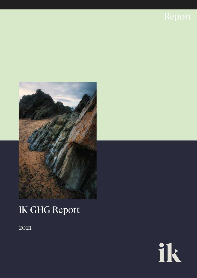



# IK GHG Report

2021

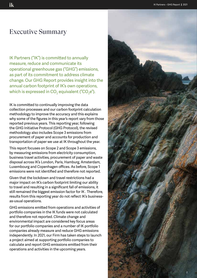# Executive Summary

IK Partners ("IK") is committed to annually measure, reduce and communicate its operational greenhouse gas ("GHG") emissions, as part of its commitment to address climate change. Our GHG Report provides insight into the annual carbon footprint of IK's own operations, which is expressed in CO $_{_2}$  equivalent ("CO $_{_2}$ e").

IK is committed to continually improving the data collection processes and our carbon footprint calculation methodology to improve the accuracy and this explains why some of the figures in this year's report vary from those reported previous years. This reporting year, following the GHG Initiative Protocol (GHG Protocol), the revised methodology also includes Scope 3 emissions from procurement of paper and accounts for production and transportation of paper we use at IK throughout the year.

This report focuses on Scope 2 and Scope 3 emissions, by measuring emissions from electricity consumption, business travel activities, procurement of paper and waste disposal across IK's London, Paris, Hamburg, Amsterdam, Luxembourg and Copenhagen offices. As before, Scope 1 emissions were not identified and therefore not reported.

Given that the lockdown and travel restrictions had a major impact on IK's carbon footprint limiting our ability to travel and resulting in a significant fall of emissions, it still remained the biggest emission factor for IK . Therefore, results from this reporting year do not reflect IK's businessas-usual operations.

GHG emissions emitted from operations and activities of portfolio companies in the IK funds were not calculated and therefore not reported. Climate change and environmental impact are considered key focus areas for our portfolio companies and a number of IK portfolio companies already measure and reduce GHG emissions independently. In 2021, our Firm has taken steps to launch a project aimed at supporting portfolio companies to calculate and report GHG emissions emitted from their operations and activities in the upcoming years.

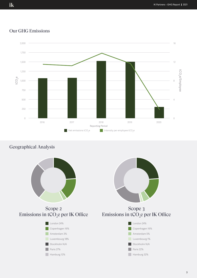#### Our GHG Emissions



### Geographical Analysis



ik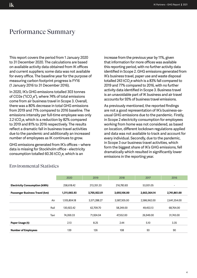# Performance Summary

This report covers the period from 1 January 2020 to 31 December 2020. The calculations are based on available activity data obtained from IK offices and current suppliers; some data was not available for every office. The baseline year for the purpose of measuring carbon footprint progress is FY16 (1 January 2016 to 31 December 2016).

In 2020, IK's GHG emissions totalled 303 tonnes of CO2e ("tCO $_2$ e"), where 74% of total emissions come from air business travel in Scope 3. Overall, there was a 80% decrease in total GHG emissions from 2019 and 71% compared to 2016 baseline. The emissions intensity per full-time employee was only 2.2 tCO $_{\rm 2}$ e, which is a reduction by 82% compared to 2019 and 81% to 2016 respectively. The results reflect a dramatic fall in business travel activities due to the pandemic and additionally an increased number of employees as IK continues to grow.

GHG emissions generated from IK's offices – where data is missing for Stockholm office - electricity consumption totalled 60.36 tCO $_{\rm 2}$ e, which is an

increase from the previous year by 11%, given that information for more offices was available this reporting period, with no further activity data identified in Scope 2. GHG emissions generated from IK's business travel, paper use and waste disposal totalled 243 tCO $_2$ e which is a 83% fall compared to 2019 and 77% compared to 2016, with no further activity data identified in Scope 3. Business travel is an unavoidable part of IK business and air travel accounts for 93% of business travel emissions.

As previously mentioned, the reported findings are not a good representation of IK's business-asusual GHG emissions due to the pandemic. Firstly, in Scope 2 electricity consumption for employees working from home was not considered, as based on location, different lockdown regulations applied and data was not available to track and account for every individual. Secondly, due to the pandemic, in Scope 3 our business travel activities, which form the biggest share of IK's GHG emissions, fell dramatically which resulted in significantly lower emissions in the reporting year.

|                                                | 2020         | 2019                         | 2018         | 2017         | 2016         |  |
|------------------------------------------------|--------------|------------------------------|--------------|--------------|--------------|--|
| <b>Electricity Consumption (kWh)</b>           | 258.618.42   | 213,351.33                   | 216.783.83   | 53,931.05    | -            |  |
| 1,311,065.93<br>Passenger Business Travel (km) |              | 3,705,922.01<br>3,693,106.00 |              | 2,663,364.14 | 2,741,861.00 |  |
| Air                                            | 1.105.804.18 | 3,571,288.27                 | 3.587.305.00 | 2,586,962.00 | 2,641,354.00 |  |
| Rail                                           | 130.922.42   | 62.709.70                    | 58,249.00    | 49,453.13    | 68.764.00    |  |
| Taxi                                           | 74,269.33    | 71.924.04                    | 47.552.00    | 26,949.00    | 31,743.00    |  |
| Paper Usage (t)                                | 2.13         | 8.25                         | 2.44         | 5.10         | 3.35         |  |
| <b>Number of Employees</b>                     | 139          | 126                          | 108          | 93           | 90           |  |

#### Environmental Statistics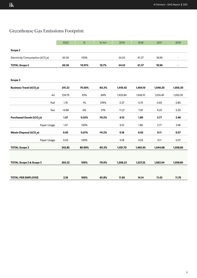## Greenhouse Gas Emissions Footprint

|                                              | 2020   | $\%$   | % YoY    | 2019     | 2018     | 2017     | 2016     |
|----------------------------------------------|--------|--------|----------|----------|----------|----------|----------|
| Scope 2                                      |        |        |          |          |          |          |          |
| Electricity Consumption (tCO <sub>2</sub> e) | 60.36  | 100%   |          | 54.53    | 61.37    | 18.96    |          |
| <b>TOTAL Scope 2</b>                         | 60.36  | 19.91% | 10.7%    | 54.53    | 61.37    | 18.96    |          |
|                                              |        |        |          |          |          |          |          |
| Scope 3                                      |        |        |          |          |          |          |          |
| <b>Business Travel (tCO<sub>2</sub>e)</b>    | 241.23 | 79.56% | $-83.3%$ | 1,445.42 | 1,464.10 | 1,040.20 | 1,056.30 |
| Air                                          | 224.79 | 93%    | $-84%$   | 1,433.84 | 1,456.10 | 1,035.40 | 1,050.30 |
| Rail                                         | 1.76   | 1%     | 376%     | 0.37     | 0.70     | 0.60     | 0.80     |
| Taxi                                         | 14.68  | 6%     | 31%      | 11.21    | 7.30     | 4.20     | 5.20     |
| <b>Purchased Goods (tCO,e)</b>               | 1.57   | 0.52%  | $-74.2%$ | 6.10     | 1.80     | 3.77     | 2.48     |
| Paper Usage                                  | 1.57   | 100%   |          | 6.10     | 1.80     | 3.77     | 2.48     |
| Waste Disposal (tCO <sub>2</sub> e)          | 0.05   | 0.01%  | $-74.2%$ | 0.18     | 0.05     | 0.11     | 0.07     |
| Paper Usage                                  | 0.05   | 100%   |          | 0.18     | 0.05     | 0.11     | 0.07     |
| <b>TOTAL Scope 3</b>                         | 242.85 | 80.09% | $-83.3%$ | 1,451.70 | 1,465.95 | 1,044.08 | 1,058.85 |
|                                              |        |        |          |          |          |          |          |
| TOTAL Scope 2 & Scope 3                      | 303.22 | 100%   | $-79.9%$ | 1,506.23 | 1,527.32 | 1,063.04 | 1,058.85 |
|                                              |        |        |          |          |          |          |          |
| <b>TOTAL PER EMPLOYEE</b>                    | 2.18   | 100%   | $-81.8%$ | 11.95    | 14.14    | 11.43    | 11.76    |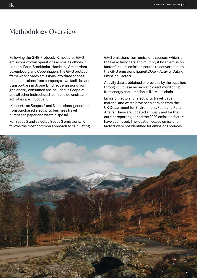# Methodology Overview

Following the GHG Protocol, IK measures GHG emissions of own operations across its offices in London, Paris, Stockholm, Hamburg, Amsterdam, Luxembourg and Copenhagen. The GHG protocol framework divides emissions into three scopes: direct emissions from company's own facilities and transport are in Scope 1; indirect emissions from grid energy consumed are included in Scope 2; and all other indirect upstream and downstream activities are in Scope 3.

IK reports on Scopes 2 and 3 emissions, generated from purchased electricity, business travel, purchased paper and waste disposal.

For Scope 2 and selected Scope 3 emissions, IK follows the most common approach to calculating GHG emissions from emissions sources, which is to take activity data and multiply it by an emission factor for each emission source to convert data to the GHG emissions figure(tCO $_2$ e = Activity Data x Emission Factor).

Activity data is obtained or provided by the suppliers through purchase records and direct monitoring from energy consumption in IK's value chain.

Emission factors for electricity, travel, paper material and waste have been derived from the UK Department for Environment, Food and Rural Affairs. These are updated annually and for the current reporting period the 2020 emission factors have been used. The location-based emissions factors were not identified for emissions sources.

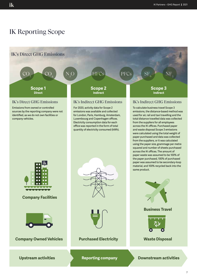# IK Reporting Scope